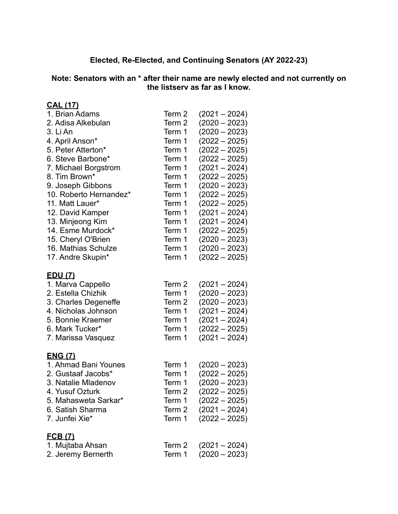## **Elected, Re-Elected, and Continuing Senators (AY 2022-23)**

**Note: Senators with an \* after their name are newly elected and not currently on the listserv as far as I know.**

| <u>CAL (17)</u>        |        |                 |
|------------------------|--------|-----------------|
| 1. Brian Adams         | Term 2 | $(2021 - 2024)$ |
| 2. Adisa Alkebulan     | Term 2 | $(2020 - 2023)$ |
| 3. Li An               | Term 1 | $(2020 - 2023)$ |
| 4. April Anson*        | Term 1 | $(2022 - 2025)$ |
| 5. Peter Atterton*     | Term 1 | $(2022 - 2025)$ |
| 6. Steve Barbone*      | Term 1 | $(2022 - 2025)$ |
| 7. Michael Borgstrom   | Term 1 | $(2021 - 2024)$ |
| 8. Tim Brown*          | Term 1 | $(2022 - 2025)$ |
| 9. Joseph Gibbons      | Term 1 | $(2020 - 2023)$ |
| 10. Roberto Hernandez* | Term 1 | $(2022 - 2025)$ |
| 11. Matt Lauer*        | Term 1 | $(2022 - 2025)$ |
| 12. David Kamper       | Term 1 | $(2021 - 2024)$ |
| 13. Minjeong Kim       | Term 1 | $(2021 - 2024)$ |
| 14. Esme Murdock*      | Term 1 | $(2022 - 2025)$ |
| 15. Cheryl O'Brien     | Term 1 | $(2020 - 2023)$ |
| 16. Mathias Schulze    | Term 1 | $(2020 - 2023)$ |
| 17. Andre Skupin*      | Term 1 | $(2022 - 2025)$ |
| <u>EDU (7)</u>         |        |                 |
| 1. Marva Cappello      | Term 2 | $(2021 - 2024)$ |
| 2. Estella Chizhik     | Term 1 | $(2020 - 2023)$ |
| 3. Charles Degeneffe   | Term 2 | $(2020 - 2023)$ |
| 4. Nicholas Johnson    | Term 1 | $(2021 - 2024)$ |
| 5. Bonnie Kraemer      | Term 1 | $(2021 - 2024)$ |
| 6. Mark Tucker*        | Term 1 | $(2022 - 2025)$ |
| 7. Marissa Vasquez     | Term 1 | $(2021 - 2024)$ |
| <u>ENG(7)</u>          |        |                 |
| 1. Ahmad Bani Younes   | Term 1 | $(2020 - 2023)$ |
| 2. Gustaaf Jacobs*     | Term 1 | $(2022 - 2025)$ |
| 3. Natalie Mladenov    | Term 1 | $(2020 - 2023)$ |
| 4. Yusuf Ozturk        | Term 2 | $(2022 - 2025)$ |
| 5. Mahasweta Sarkar*   | Term 1 | $(2022 - 2025)$ |
| 6. Satish Sharma       | Term 2 | $(2021 - 2024)$ |
| 7. Junfei Xie*         | Term 1 | $(2022 - 2025)$ |
| <u>FCB (7)</u>         |        |                 |
| 1. Mujtaba Ahsan       | Term 2 | $(2021 - 2024)$ |
| 2. Jeremy Bernerth     | Term 1 | $(2020 - 2023)$ |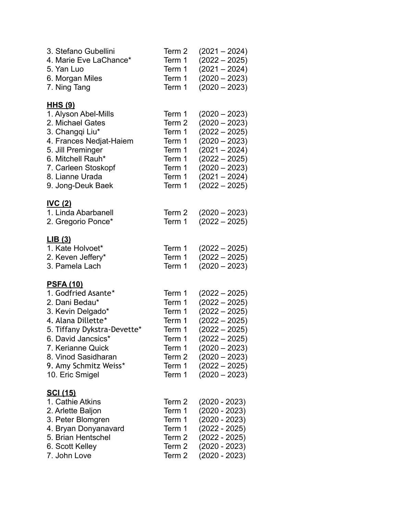| 3. Stefano Gubellini<br>4. Marie Eve LaChance*<br>5. Yan Luo<br>6. Morgan Miles<br>7. Ning Tang                                                                                                                                                   | Term 2<br>Term 1<br>Term 1<br>Term 1<br>Term 1                                                   | $(2021 - 2024)$<br>$(2022 - 2025)$<br>$(2021 - 2024)$<br>$(2020 - 2023)$<br>$(2020 - 2023)$                                                                                                |
|---------------------------------------------------------------------------------------------------------------------------------------------------------------------------------------------------------------------------------------------------|--------------------------------------------------------------------------------------------------|--------------------------------------------------------------------------------------------------------------------------------------------------------------------------------------------|
| <u>HHS (9)</u><br>1. Alyson Abel-Mills<br>2. Michael Gates<br>3. Changqi Liu*<br>4. Frances Nedjat-Haiem<br>5. Jill Preminger<br>6. Mitchell Rauh*<br>7. Carleen Stoskopf<br>8. Lianne Urada<br>9. Jong-Deuk Baek                                 | Term 1<br>Term 2<br>Term 1<br>Term 1<br>Term 1<br>Term 1<br>Term 1<br>Term 1<br>Term 1           | $(2020 - 2023)$<br>$(2020 - 2023)$<br>$(2022 - 2025)$<br>$(2020 - 2023)$<br>$(2021 - 2024)$<br>$(2022 - 2025)$<br>$(2020 - 2023)$<br>$(2021 - 2024)$<br>$(2022 - 2025)$                    |
| <b>IVC (2)</b><br>1. Linda Abarbanell<br>2. Gregorio Ponce*                                                                                                                                                                                       | Term 2<br>Term 1                                                                                 | $(2020 - 2023)$<br>$(2022 - 2025)$                                                                                                                                                         |
| LIB(3)<br>1. Kate Holvoet*<br>2. Keven Jeffery*<br>3. Pamela Lach                                                                                                                                                                                 | Term 1<br>Term 1<br>Term 1                                                                       | $(2022 - 2025)$<br>$(2022 - 2025)$<br>$(2020 - 2023)$                                                                                                                                      |
| <u>PSFA (10)</u><br>1. Godfried Asante*<br>2. Dani Bedau*<br>3. Kevin Delgado*<br>4. Alana Dillette*<br>5. Tiffany Dykstra-Devette*<br>6. David Jancsics*<br>7. Kerianne Quick<br>8. Vinod Sasidharan<br>9. Amy Schmitz Weiss*<br>10. Eric Smigel | Term 1<br>Term 1<br>Term 1<br>Term 1<br>Term 1<br>Term 1<br>Term 1<br>Term 2<br>Term 1<br>Term 1 | $(2022 - 2025)$<br>$(2022 - 2025)$<br>$(2022 - 2025)$<br>$(2022 - 2025)$<br>$(2022 - 2025)$<br>$(2022 - 2025)$<br>$(2020 - 2023)$<br>$(2020 - 2023)$<br>$(2022 - 2025)$<br>$(2020 - 2023)$ |
| <u>SCI (15)</u><br>1. Cathie Atkins<br>2. Arlette Baljon<br>3. Peter Blomgren<br>4. Bryan Donyanavard<br>5. Brian Hentschel<br>6. Scott Kelley<br>7. John Love                                                                                    | Term 2<br>Term 1<br>Term 1<br>Term 1<br>Term 2<br>Term 2<br>Term 2                               | $(2020 - 2023)$<br>$(2020 - 2023)$<br>$(2020 - 2023)$<br>$(2022 - 2025)$<br>$(2022 - 2025)$<br>$(2020 - 2023)$<br>$(2020 - 2023)$                                                          |